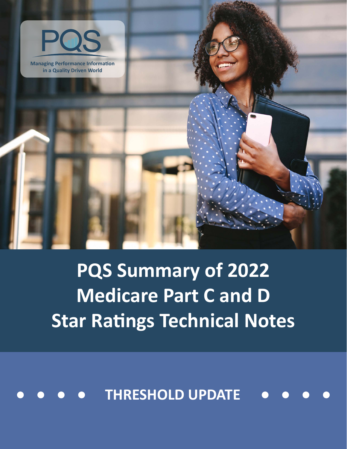

**Managing Performance Information in a Quality Driven World**

> **PQS Summary of 2022 Medicare Part C and D Star Ratings Technical Notes**

**THRESHOLD UPDATE**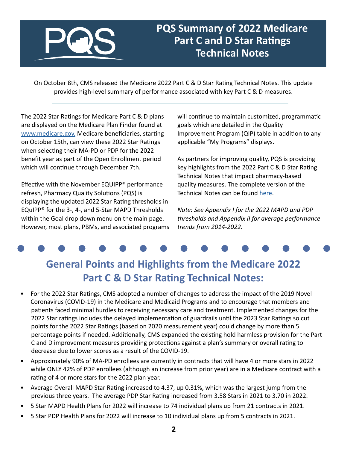

PHARMACY QUALITY SOLUTIONS

### **PQS Summary of 2022 Medicare Part C and D Star Ratings Technical Notes**

On October 8th, CMS released the Medicare 2022 Part C & D Star Rating Technical Notes. This update provides high-level summary of performance associated with key Part C & D measures.

The 2022 Star Ratings for Medicare Part C & D plans are displayed on the Medicare Plan Finder found at [www.medicare.gov.](http://www.medicare.gov) Medicare beneficiaries, starting on October 15th, can view these 2022 Star Ratings when selecting their MA-PD or PDP for the 2022 benefit year as part of the Open Enrollment period which will continue through December 7th.

Effective with the November EQUIPP® performance refresh, Pharmacy Quality Solutions (PQS) is displaying the updated 2022 Star Rating thresholds in EQuIPP® for the 3-, 4-, and 5-Star MAPD Thresholds within the Goal drop down menu on the main page. However, most plans, PBMs, and associated programs will continue to maintain customized, programmatic goals which are detailed in the Quality Improvement Program (QIP) table in addition to any applicable "My Programs" displays.

As partners for improving quality, PQS is providing key highlights from the 2022 Part C & D Star Rating Technical Notes that impact pharmacy-based quality measures. The complete version of the Technical Notes can be found [here](https://www.cms.gov/files/document/2022-star-ratings-technical-notes-oct-4-2022.pdf).

*Note: See Appendix I for the 2022 MAPD and PDP thresholds and Appendix II for average performance trends from 2014-2022.*

## **General Points and Highlights from the Medicare 2022 Part C & D Star Rating Technical Notes:**

- For the 2022 Star Ratings, CMS adopted a number of changes to address the impact of the 2019 Novel Coronavirus (COVID-19) in the Medicare and Medicaid Programs and to encourage that members and patients faced minimal hurdles to receiving necessary care and treatment. Implemented changes for the 2022 Star ratings includes the delayed implementation of guardrails until the 2023 Star Ratings so cut points for the 2022 Star Ratings (based on 2020 measurement year) could change by more than 5 percentage points if needed. Additionally, CMS expanded the existing hold harmless provision for the Part C and D improvement measures providing protections against a plan's summary or overall rating to decrease due to lower scores as a result of the COVID-19.
- Approximately 90% of MA-PD enrollees are currently in contracts that will have 4 or more stars in 2022 while ONLY 42% of PDP enrollees (although an increase from prior year) are in a Medicare contract with a rating of 4 or more stars for the 2022 plan year.
- Average Overall MAPD Star Rating increased to 4.37, up 0.31%, which was the largest jump from the previous three years. The average PDP Star Rating increased from 3.58 Stars in 2021 to 3.70 in 2022.
- 5 Star MAPD Health Plans for 2022 will increase to 74 individual plans up from 21 contracts in 2021.
- 5 Star PDP Health Plans for 2022 will increase to 10 individual plans up from 5 contracts in 2021.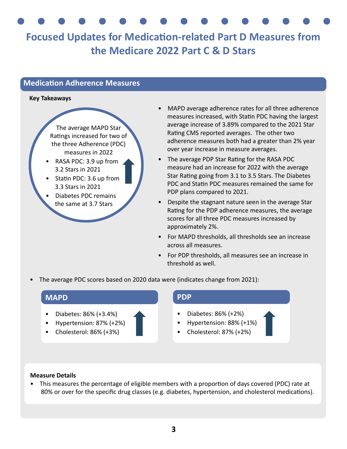# **Focused Updates for Medication-related Part D Measures from the Medicare 2022 Part C & D Stars**

#### **Medication Adherence Measures**

#### **Key Takeaways**

The average MAPD Star Ratings increased for two of the three Adherence (PDC) measures in 2022

- RASA PDC: 3.9 up from 3.2 Stars in 2021
- Statin PDC: 3.6 up from 3.3 Stars in 2021
- Diabetes PDC remains the same at 3.7 Stars
- MAPD average adherence rates for all three adherence measures increased, with Statin PDC having the largest average increase of 3.89% compared to the 2021 Star Rating CMS reported averages. The other two adherence measures both had a greater than 2% year over year increase in measure averages.
- The average PDP Star Rating for the RASA PDC measure had an increase for 2022 with the average Star Rating going from 3.1 to 3.5 Stars. The Diabetes PDC and Statin PDC measures remained the same for PDP plans compared to 2021.
- Despite the stagnant nature seen in the average Star Rating for the PDP adherence measures, the average scores for all three PDC measures increased by approximately 2%.
- For MAPD thresholds, all thresholds see an increase across all measures.
- For PDP thresholds, all measures see an increase in threshold as well.
- The average PDC scores based on 2020 data were (indicates change from 2021):

#### **MAPD**

- Diabetes: 86% (+3.4%)
- Hypertension: 87% (+2%)
- Cholesterol: 86% (+3%)

#### **PDP**

- Diabetes: 86% (+2%)
- Hypertension: 88% (+1%)
- Cholesterol: 87% (+2%)

#### **Measure Details**

• This measures the percentage of eligible members with a proportion of days covered (PDC) rate at 80% or over for the specific drug classes (e.g. diabetes, hypertension, and cholesterol medications).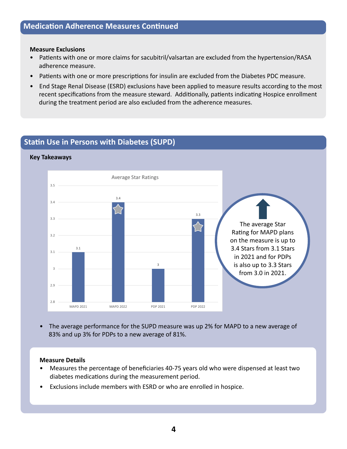#### **Medication Adherence Measures Continued**

#### **Measure Exclusions**

- Patients with one or more claims for sacubitril/valsartan are excluded from the hypertension/RASA adherence measure.
- Patients with one or more prescriptions for insulin are excluded from the Diabetes PDC measure.
- End Stage Renal Disease (ESRD) exclusions have been applied to measure results according to the most recent specifications from the measure steward. Additionally, patients indicating Hospice enrollment during the treatment period are also excluded from the adherence measures.

#### **Statin Use in Persons with Diabetes (SUPD)**

#### **Key Takeaways**



• The average performance for the SUPD measure was up 2% for MAPD to a new average of 83% and up 3% for PDPs to a new average of 81%.

#### **Measure Details**

- Measures the percentage of beneficiaries 40-75 years old who were dispensed at least two diabetes medications during the measurement period.
- Exclusions include members with ESRD or who are enrolled in hospice.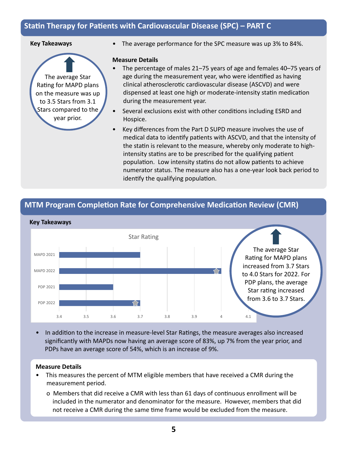### **Statin Therapy for Patients with Cardiovascular Disease (SPC) – PART C**

#### **Key Takeaways**

The average Star Rating for MAPD plans on the measure was up to 3.5 Stars from 3.1 Stars compared to the year prior.

• The average performance for the SPC measure was up 3% to 84%.

#### **Measure Details**

- The percentage of males 21–75 years of age and females 40–75 years of age during the measurement year, who were identified as having clinical atherosclerotic cardiovascular disease (ASCVD) and were dispensed at least one high or moderate-intensity statin medication during the measurement year.
- Several exclusions exist with other conditions including ESRD and Hospice.
- Key differences from the Part D SUPD measure involves the use of medical data to identify patients with ASCVD, and that the intensity of the statin is relevant to the measure, whereby only moderate to high intensity statins are to be prescribed for the qualifying patient population. Low intensity statins do not allow patients to achieve numerator status. The measure also has a one-year look back period to identify the qualifying population.

#### **MTM Program Completion Rate for Comprehensive Medication Review (CMR)**



• In addition to the increase in measure-level Star Ratings, the measure averages also increased significantly with MAPDs now having an average score of 83%, up 7% from the year prior, and PDPs have an average score of 54%, which is an increase of 9%.

#### **Measure Details**

- This measures the percent of MTM eligible members that have received a CMR during the measurement period.
	- o Members that did receive a CMR with less than 61 days of continuous enrollment will be included in the numerator and denominator for the measure. However, members that did not receive a CMR during the same time frame would be excluded from the measure.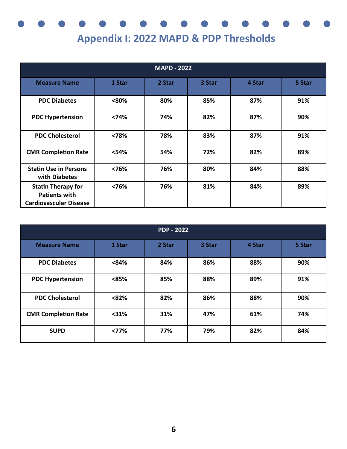# **Appendix I: 2022 MAPD & PDP Thresholds**

| <b>MAPD - 2022</b>                                                                 |        |        |        |        |        |  |  |
|------------------------------------------------------------------------------------|--------|--------|--------|--------|--------|--|--|
| <b>Measure Name</b>                                                                | 1 Star | 2 Star | 3 Star | 4 Star | 5 Star |  |  |
| <b>PDC Diabetes</b>                                                                | <80%   | 80%    | 85%    | 87%    | 91%    |  |  |
| <b>PDC Hypertension</b>                                                            | < 74%  | 74%    | 82%    | 87%    | 90%    |  |  |
| <b>PDC Cholesterol</b>                                                             | <78%   | 78%    | 83%    | 87%    | 91%    |  |  |
| <b>CMR Completion Rate</b>                                                         | <54%   | 54%    | 72%    | 82%    | 89%    |  |  |
| <b>Statin Use in Persons</b><br>with Diabetes                                      | <76%   | 76%    | 80%    | 84%    | 88%    |  |  |
| <b>Statin Therapy for</b><br><b>Patients with</b><br><b>Cardiovascular Disease</b> | < 76%  | 76%    | 81%    | 84%    | 89%    |  |  |

| <b>PDP - 2022</b>          |        |        |        |        |        |  |  |  |
|----------------------------|--------|--------|--------|--------|--------|--|--|--|
| <b>Measure Name</b>        | 1 Star | 2 Star | 3 Star | 4 Star | 5 Star |  |  |  |
| <b>PDC Diabetes</b>        | < 84%  | 84%    | 86%    | 88%    | 90%    |  |  |  |
| <b>PDC Hypertension</b>    | < 85%  | 85%    | 88%    | 89%    | 91%    |  |  |  |
| <b>PDC Cholesterol</b>     | < 82%  | 82%    | 86%    | 88%    | 90%    |  |  |  |
| <b>CMR Completion Rate</b> | < 31%  | 31%    | 47%    | 61%    | 74%    |  |  |  |
| <b>SUPD</b>                | < 77%  | 77%    | 79%    | 82%    | 84%    |  |  |  |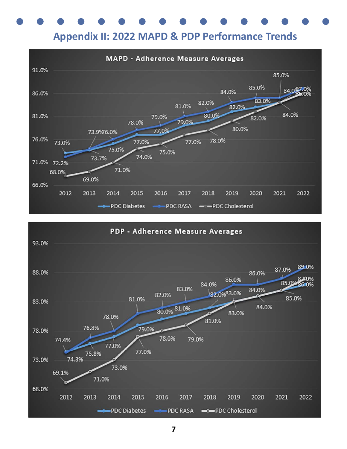

**Appendix II: 2022 MAPD & PDP Performance Trends**